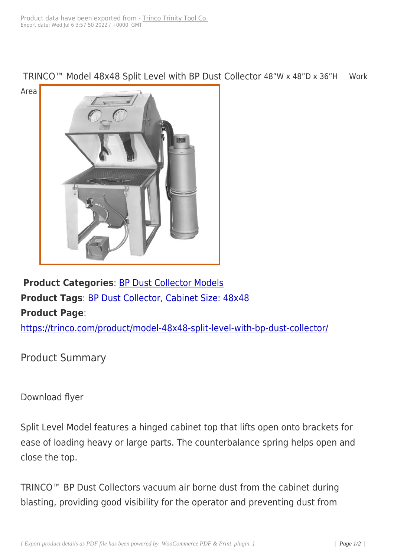TRINCO™ Model 48x48 Split Level with BP Dust Collector 48"W x 48"D x 36"H Work



**Product Categories**: BP Dust Collector Models **Product Tags**: BP Dust Collector, Cabinet Size: 48x48 **Product Page**:

https://trinco.co[m/product/model-](https://trinco.com/product-tag/bp-dust-collector/)[48x48-split-level-with](https://trinco.com/product-tag/cabinet-size-48x48/)-bp-dust-collector/

[Product Summary](https://trinco.com/product/model-48x48-split-level-with-bp-dust-collector/)

Download flyer

Split Level Model features a hinged cabinet top that lifts open onto brackets for ease of loading heavy or large parts. The counterbalance spring helps open and close the top.

TRINCO™ BP Dust Collectors vacuum air borne dust from the cabinet during blasting, providing good visibility for the operator and preventing dust from